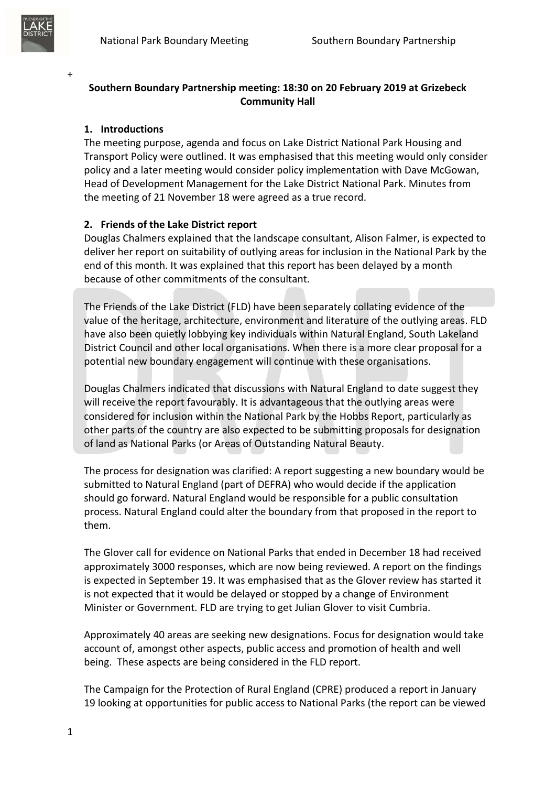

+

# **Southern Boundary Partnership meeting: 18:30 on 20 February 2019 at Grizebeck Community Hall**

#### **1. Introductions**

The meeting purpose, agenda and focus on Lake District National Park Housing and Transport Policy were outlined. It was emphasised that this meeting would only consider policy and a later meeting would consider policy implementation with Dave McGowan, Head of Development Management for the Lake District National Park. Minutes from the meeting of 21 November 18 were agreed as a true record.

#### **2. Friends of the Lake District report**

Douglas Chalmers explained that the landscape consultant, Alison Falmer, is expected to deliver her report on suitability of outlying areas for inclusion in the National Park by the end of this month. It was explained that this report has been delayed by a month because of other commitments of the consultant.

The Friends of the Lake District (FLD) have been separately collating evidence of the value of the heritage, architecture, environment and literature of the outlying areas. FLD have also been quietly lobbying key individuals within Natural England, South Lakeland District Council and other local organisations. When there is a more clear proposal for a potential new boundary engagement will continue with these organisations.

Douglas Chalmers indicated that discussions with Natural England to date suggest they will receive the report favourably. It is advantageous that the outlying areas were considered for inclusion within the National Park by the Hobbs Report, particularly as other parts of the country are also expected to be submitting proposals for designation of land as National Parks (or Areas of Outstanding Natural Beauty.

The process for designation was clarified: A report suggesting a new boundary would be submitted to Natural England (part of DEFRA) who would decide if the application should go forward. Natural England would be responsible for a public consultation process. Natural England could alter the boundary from that proposed in the report to them.

The Glover call for evidence on National Parks that ended in December 18 had received approximately 3000 responses, which are now being reviewed. A report on the findings is expected in September 19. It was emphasised that as the Glover review has started it is not expected that it would be delayed or stopped by a change of Environment Minister or Government. FLD are trying to get Julian Glover to visit Cumbria.

Approximately 40 areas are seeking new designations. Focus for designation would take account of, amongst other aspects, public access and promotion of health and well being. These aspects are being considered in the FLD report.

The Campaign for the Protection of Rural England (CPRE) produced a report in January 19 looking at opportunities for public access to National Parks (the report can be viewed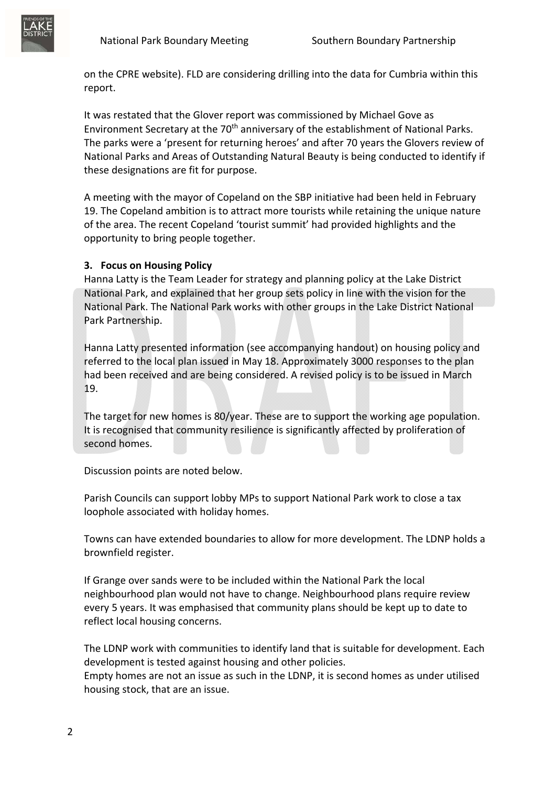

on the CPRE website). FLD are considering drilling into the data for Cumbria within this report.

It was restated that the Glover report was commissioned by Michael Gove as Environment Secretary at the 70<sup>th</sup> anniversary of the establishment of National Parks. The parks were a 'present for returning heroes' and after 70 years the Glovers review of National Parks and Areas of Outstanding Natural Beauty is being conducted to identify if these designations are fit for purpose.

A meeting with the mayor of Copeland on the SBP initiative had been held in February 19. The Copeland ambition is to attract more tourists while retaining the unique nature of the area. The recent Copeland 'tourist summit' had provided highlights and the opportunity to bring people together.

# **3. Focus on Housing Policy**

Hanna Latty is the Team Leader for strategy and planning policy at the Lake District National Park, and explained that her group sets policy in line with the vision for the National Park. The National Park works with other groups in the Lake District National Park Partnership.

Hanna Latty presented information (see accompanying handout) on housing policy and referred to the local plan issued in May 18. Approximately 3000 responses to the plan had been received and are being considered. A revised policy is to be issued in March 19.

The target for new homes is 80/year. These are to support the working age population. It is recognised that community resilience is significantly affected by proliferation of second homes.

Discussion points are noted below.

Parish Councils can support lobby MPs to support National Park work to close a tax loophole associated with holiday homes.

Towns can have extended boundaries to allow for more development. The LDNP holds a brownfield register.

If Grange over sands were to be included within the National Park the local neighbourhood plan would not have to change. Neighbourhood plans require review every 5 years. It was emphasised that community plans should be kept up to date to reflect local housing concerns.

The LDNP work with communities to identify land that is suitable for development. Each development is tested against housing and other policies.

Empty homes are not an issue as such in the LDNP, it is second homes as under utilised housing stock, that are an issue.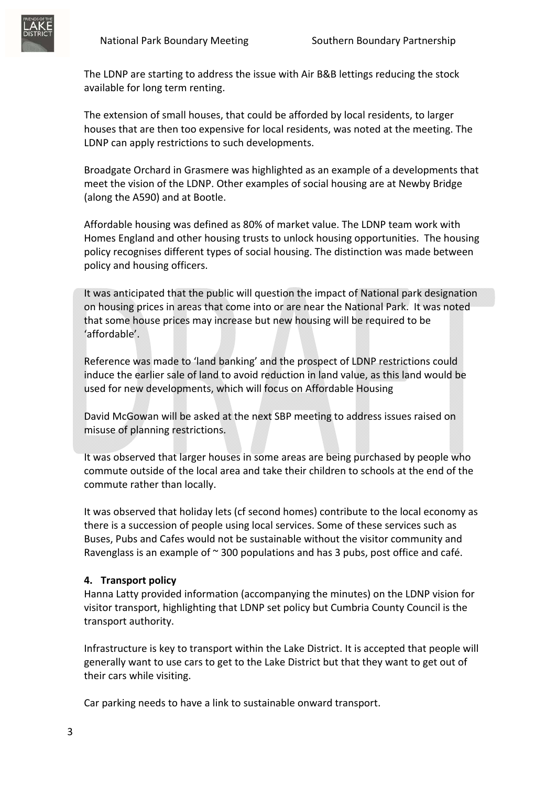

The LDNP are starting to address the issue with Air B&B lettings reducing the stock available for long term renting.

The extension of small houses, that could be afforded by local residents, to larger houses that are then too expensive for local residents, was noted at the meeting. The LDNP can apply restrictions to such developments.

Broadgate Orchard in Grasmere was highlighted as an example of a developments that meet the vision of the LDNP. Other examples of social housing are at Newby Bridge (along the A590) and at Bootle.

Affordable housing was defined as 80% of market value. The LDNP team work with Homes England and other housing trusts to unlock housing opportunities. The housing policy recognises different types of social housing. The distinction was made between policy and housing officers.

It was anticipated that the public will question the impact of National park designation on housing prices in areas that come into or are near the National Park. It was noted that some house prices may increase but new housing will be required to be 'affordable'.

Reference was made to 'land banking' and the prospect of LDNP restrictions could induce the earlier sale of land to avoid reduction in land value, as this land would be used for new developments, which will focus on Affordable Housing

David McGowan will be asked at the next SBP meeting to address issues raised on misuse of planning restrictions.

It was observed that larger houses in some areas are being purchased by people who commute outside of the local area and take their children to schools at the end of the commute rather than locally.

It was observed that holiday lets (cf second homes) contribute to the local economy as there is a succession of people using local services. Some of these services such as Buses, Pubs and Cafes would not be sustainable without the visitor community and Ravenglass is an example of  $\sim$  300 populations and has 3 pubs, post office and café.

### **4. Transport policy**

Hanna Latty provided information (accompanying the minutes) on the LDNP vision for visitor transport, highlighting that LDNP set policy but Cumbria County Council is the transport authority.

Infrastructure is key to transport within the Lake District. It is accepted that people will generally want to use cars to get to the Lake District but that they want to get out of their cars while visiting.

Car parking needs to have a link to sustainable onward transport.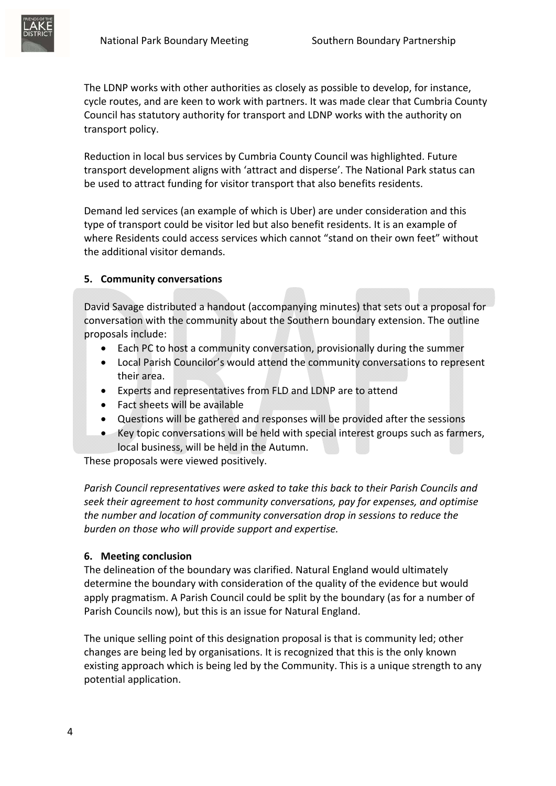

The LDNP works with other authorities as closely as possible to develop, for instance, cycle routes, and are keen to work with partners. It was made clear that Cumbria County Council has statutory authority for transport and LDNP works with the authority on transport policy.

Reduction in local bus services by Cumbria County Council was highlighted. Future transport development aligns with 'attract and disperse'. The National Park status can be used to attract funding for visitor transport that also benefits residents.

Demand led services (an example of which is Uber) are under consideration and this type of transport could be visitor led but also benefit residents. It is an example of where Residents could access services which cannot "stand on their own feet" without the additional visitor demands.

# **5. Community conversations**

David Savage distributed a handout (accompanying minutes) that sets out a proposal for conversation with the community about the Southern boundary extension. The outline proposals include:

- Each PC to host a community conversation, provisionally during the summer
- Local Parish Councilor's would attend the community conversations to represent their area.
- Experts and representatives from FLD and LDNP are to attend
- Fact sheets will be available
- Questions will be gathered and responses will be provided after the sessions
- Key topic conversations will be held with special interest groups such as farmers, local business, will be held in the Autumn.

These proposals were viewed positively.

*Parish Council representatives were asked to take this back to their Parish Councils and seek their agreement to host community conversations, pay for expenses, and optimise the number and location of community conversation drop in sessions to reduce the burden on those who will provide support and expertise.* 

### **6. Meeting conclusion**

The delineation of the boundary was clarified. Natural England would ultimately determine the boundary with consideration of the quality of the evidence but would apply pragmatism. A Parish Council could be split by the boundary (as for a number of Parish Councils now), but this is an issue for Natural England.

The unique selling point of this designation proposal is that is community led; other changes are being led by organisations. It is recognized that this is the only known existing approach which is being led by the Community. This is a unique strength to any potential application.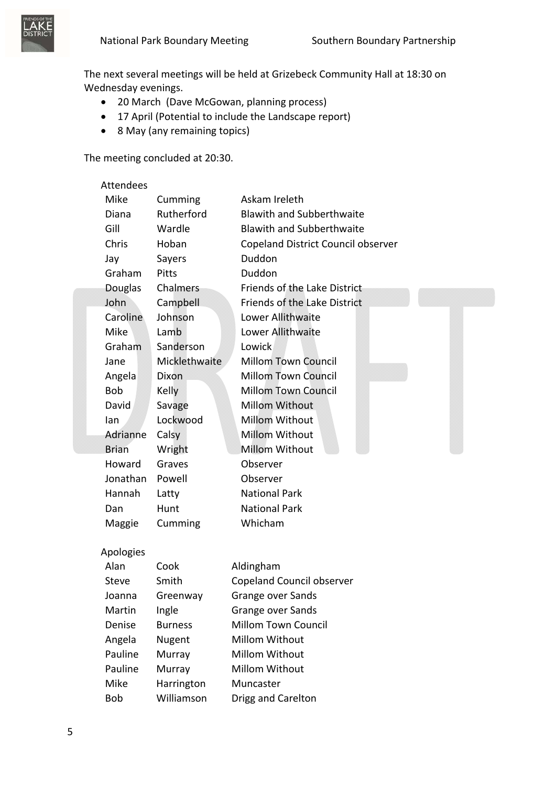

The next several meetings will be held at Grizebeck Community Hall at 18:30 on Wednesday evenings.

- 20 March (Dave McGowan, planning process)
- 17 April (Potential to include the Landscape report)
- 8 May (any remaining topics)

The meeting concluded at 20:30.

| Attendees      |                |                                           |
|----------------|----------------|-------------------------------------------|
| Mike           | Cumming        | Askam Ireleth                             |
| Diana          | Rutherford     | <b>Blawith and Subberthwaite</b>          |
| Gill           | Wardle         | <b>Blawith and Subberthwaite</b>          |
| Chris          | Hoban          | <b>Copeland District Council observer</b> |
| Jay            | Sayers         | Duddon                                    |
| Graham         | Pitts          | Duddon                                    |
| <b>Douglas</b> | Chalmers       | Friends of the Lake District              |
| John           | Campbell       | Friends of the Lake District              |
| Caroline       | Johnson        | Lower Allithwaite                         |
| Mike           | Lamb           | Lower Allithwaite                         |
| Graham         | Sanderson      | Lowick                                    |
| Jane           | Micklethwaite  | <b>Millom Town Council</b>                |
| Angela         | <b>Dixon</b>   | <b>Millom Town Council</b>                |
| <b>Bob</b>     | Kelly          | <b>Millom Town Council</b>                |
| David          | Savage         | <b>Millom Without</b>                     |
| lan            | Lockwood       | <b>Millom Without</b>                     |
| Adrianne       | Calsy          | Millom Without                            |
| <b>Brian</b>   | Wright         | <b>Millom Without</b>                     |
| Howard         | Graves         | Observer                                  |
| Jonathan       | Powell         | Observer                                  |
| Hannah         | Latty          | <b>National Park</b>                      |
| Dan            | Hunt           | <b>National Park</b>                      |
| Maggie         | Cumming        | Whicham                                   |
| Apologies      |                |                                           |
| Alan           | Cook           | Aldingham                                 |
| <b>Steve</b>   | Smith          | Copeland Council observer                 |
| Joanna         | Greenway       | <b>Grange over Sands</b>                  |
| Martin         | Ingle          | Grange over Sands                         |
| Denise         | <b>Burness</b> | <b>Millom Town Council</b>                |
| Angela         | Nugent         | Millom Without                            |
| Pauline        | Murray         | Millom Without                            |
| Pauline        | Murray         | Millom Without                            |
| Mike           | Harrington     | Muncaster                                 |
| <b>Bob</b>     | Williamson     | Drigg and Carelton                        |